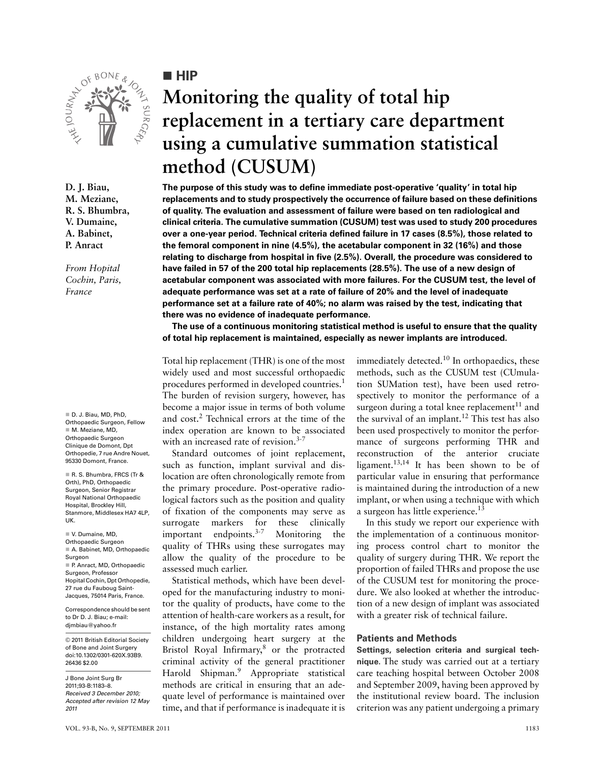

**D. J. Biau, M. Meziane, R. S. Bhumbra, V. Dumaine, A. Babinet, P. Anract**

*From Hopital Cochin, Paris, France*

 D. J. Biau, MD, PhD, Orthopaedic Surgeon, Fellow M. Meziane, MD, Orthopaedic Surgeon Clinique de Domont, Dpt Orthopedie, 7 rue Andre Nouet, 95330 Domont, France.

R. S. Bhumbra, FRCS (Tr & Orth), PhD, Orthopaedic Surgeon, Senior Registrar Royal National Orthopaedic Hospital, Brockley Hill, Stanmore, Middlesex HA7 4LP, UK.

 V. Dumaine, MD, Orthopaedic Surgeon A. Babinet, MD, Orthopaedic Surgeon P. Anract, MD, Orthopaedic Surgeon, Professor Hopital Cochin, Dpt Orthopedie, 27 rue du Fauboug Saint-Jacques, 75014 Paris, France.

Correspondence should be sent to Dr D. J. Biau; e-mail: djmbiau@yahoo.fr

© 2011 British Editorial Society of Bone and Joint Surgery doi:10.1302/0301-620X.93B9. 26436 \$2.00

J Bone Joint Surg Br 2011;93-B:1183–8. *Received 3 December 2010; Accepted after revision 12 May 2011*

## **HIP**

# **Monitoring the quality of total hip replacement in a tertiary care department using a cumulative summation statistical method (CUSUM)**

**The purpose of this study was to define immediate post-operative 'quality' in total hip replacements and to study prospectively the occurrence of failure based on these definitions of quality. The evaluation and assessment of failure were based on ten radiological and clinical criteria. The cumulative summation (CUSUM) test was used to study 200 procedures over a one-year period. Technical criteria defined failure in 17 cases (8.5%), those related to the femoral component in nine (4.5%), the acetabular component in 32 (16%) and those relating to discharge from hospital in five (2.5%). Overall, the procedure was considered to have failed in 57 of the 200 total hip replacements (28.5%). The use of a new design of acetabular component was associated with more failures. For the CUSUM test, the level of adequate performance was set at a rate of failure of 20% and the level of inadequate performance set at a failure rate of 40%; no alarm was raised by the test, indicating that there was no evidence of inadequate performance.**

**The use of a continuous monitoring statistical method is useful to ensure that the quality of total hip replacement is maintained, especially as newer implants are introduced.**

Total hip replacement (THR) is one of the most widely used and most successful orthopaedic procedures performed in developed countries.<sup>1</sup> The burden of revision surgery, however, has become a major issue in terms of both volume and cost.<sup>2</sup> Technical errors at the time of the index operation are known to be associated with an increased rate of revision.<sup>3-7</sup>

Standard outcomes of joint replacement, such as function, implant survival and dislocation are often chronologically remote from the primary procedure. Post-operative radiological factors such as the position and quality of fixation of the components may serve as surrogate markers for these clinically<br>important endpoints.<sup>3-7</sup> Monitoring the important endpoints.3-7 Monitoring the quality of THRs using these surrogates may allow the quality of the procedure to be assessed much earlier.

Statistical methods, which have been developed for the manufacturing industry to monitor the quality of products, have come to the attention of health-care workers as a result, for instance, of the high mortality rates among children undergoing heart surgery at the Bristol Royal Infirmary,<sup>8</sup> or the protracted criminal activity of the general practitioner Harold Shipman.<sup>9</sup> Appropriate statistical methods are critical in ensuring that an adequate level of performance is maintained over time, and that if performance is inadequate it is immediately detected.10 In orthopaedics, these methods, such as the CUSUM test (CUmulation SUMation test), have been used retrospectively to monitor the performance of a surgeon during a total knee replacement<sup>11</sup> and the survival of an implant.<sup>12</sup> This test has also been used prospectively to monitor the performance of surgeons performing THR and reconstruction of the anterior cruciate ligament.<sup>13,14</sup> It has been shown to be of particular value in ensuring that performance is maintained during the introduction of a new implant, or when using a technique with which a surgeon has little experience.<sup>13</sup>

In this study we report our experience with the implementation of a continuous monitoring process control chart to monitor the quality of surgery during THR. We report the proportion of failed THRs and propose the use of the CUSUM test for monitoring the procedure. We also looked at whether the introduction of a new design of implant was associated with a greater risk of technical failure.

### **Patients and Methods**

**Settings, selection criteria and surgical technique.** The study was carried out at a tertiary care teaching hospital between October 2008 and September 2009, having been approved by the institutional review board. The inclusion criterion was any patient undergoing a primary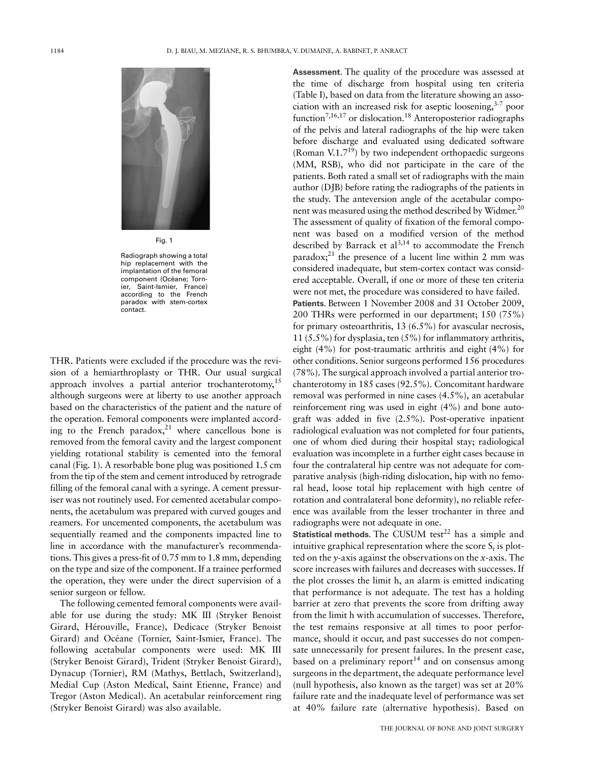

Fig. 1

Radiograph showing a total hip replacement with the implantation of the femoral component (Océane; Tornier, Saint-Ismier, France) according to the French paradox with stem-cortex contact.

THR. Patients were excluded if the procedure was the revision of a hemiarthroplasty or THR. Our usual surgical approach involves a partial anterior trochanterotomy,  $15$ although surgeons were at liberty to use another approach based on the characteristics of the patient and the nature of the operation. Femoral components were implanted according to the French paradox, $2^1$  where cancellous bone is removed from the femoral cavity and the largest component yielding rotational stability is cemented into the femoral canal (Fig. 1). A resorbable bone plug was positioned 1.5 cm from the tip of the stem and cement introduced by retrograde filling of the femoral canal with a syringe. A cement pressuriser was not routinely used. For cemented acetabular components, the acetabulum was prepared with curved gouges and reamers. For uncemented components, the acetabulum was sequentially reamed and the components impacted line to line in accordance with the manufacturer's recommendations. This gives a press-fit of 0.75 mm to 1.8 mm, depending on the type and size of the component. If a trainee performed the operation, they were under the direct supervision of a senior surgeon or fellow.

The following cemented femoral components were available for use during the study: MK III (Stryker Benoist Girard, Hérouville, France), Dedicace (Stryker Benoist Girard) and Océane (Tornier, Saint-Ismier, France). The following acetabular components were used: MK III (Stryker Benoist Girard), Trident (Stryker Benoist Girard), Dynacup (Tornier), RM (Mathys, Bettlach, Switzerland), Medial Cup (Aston Medical, Saint Etienne, France) and Tregor (Aston Medical). An acetabular reinforcement ring (Stryker Benoist Girard) was also available.

**Assessment.** The quality of the procedure was assessed at the time of discharge from hospital using ten criteria (Table I), based on data from the literature showing an association with an increased risk for aseptic loosening, $3-7$  poor function<sup>7,16,17</sup> or dislocation.<sup>18</sup> Anteroposterior radiographs of the pelvis and lateral radiographs of the hip were taken before discharge and evaluated using dedicated software (Roman V.1.7<sup>19</sup>) by two independent orthopaedic surgeons (MM, RSB), who did not participate in the care of the patients. Both rated a small set of radiographs with the main author (DJB) before rating the radiographs of the patients in the study. The anteversion angle of the acetabular component was measured using the method described by Widmer.<sup>20</sup> The assessment of quality of fixation of the femoral component was based on a modified version of the method described by Barrack et  $al^{3,14}$  to accommodate the French paradox; $^{21}$  the presence of a lucent line within 2 mm was considered inadequate, but stem-cortex contact was considered acceptable. Overall, if one or more of these ten criteria were not met, the procedure was considered to have failed. **Patients.** Between 1 November 2008 and 31 October 2009, 200 THRs were performed in our department; 150 (75%) for primary osteoarthritis, 13 (6.5%) for avascular necrosis, 11 (5.5%) for dysplasia, ten (5%) for inflammatory arthritis, eight (4%) for post-traumatic arthritis and eight (4%) for other conditions. Senior surgeons performed 156 procedures (78%). The surgical approach involved a partial anterior trochanterotomy in 185 cases (92.5%). Concomitant hardware removal was performed in nine cases (4.5%), an acetabular reinforcement ring was used in eight (4%) and bone autograft was added in five (2.5%). Post-operative inpatient radiological evaluation was not completed for four patients, one of whom died during their hospital stay; radiological evaluation was incomplete in a further eight cases because in four the contralateral hip centre was not adequate for comparative analysis (high-riding dislocation, hip with no femoral head, loose total hip replacement with high centre of rotation and contralateral bone deformity), no reliable reference was available from the lesser trochanter in three and radiographs were not adequate in one.

**Statistical methods.** The CUSUM test<sup>22</sup> has a simple and intuitive graphical representation where the score  $S_t$  is plotted on the *y*-axis against the observations on the *x*-axis. The score increases with failures and decreases with successes. If the plot crosses the limit h, an alarm is emitted indicating that performance is not adequate. The test has a holding barrier at zero that prevents the score from drifting away from the limit h with accumulation of successes. Therefore, the test remains responsive at all times to poor performance, should it occur, and past successes do not compensate unnecessarily for present failures. In the present case, based on a preliminary report<sup>14</sup> and on consensus among surgeons in the department, the adequate performance level (null hypothesis, also known as the target) was set at 20% failure rate and the inadequate level of performance was set at 40% failure rate (alternative hypothesis). Based on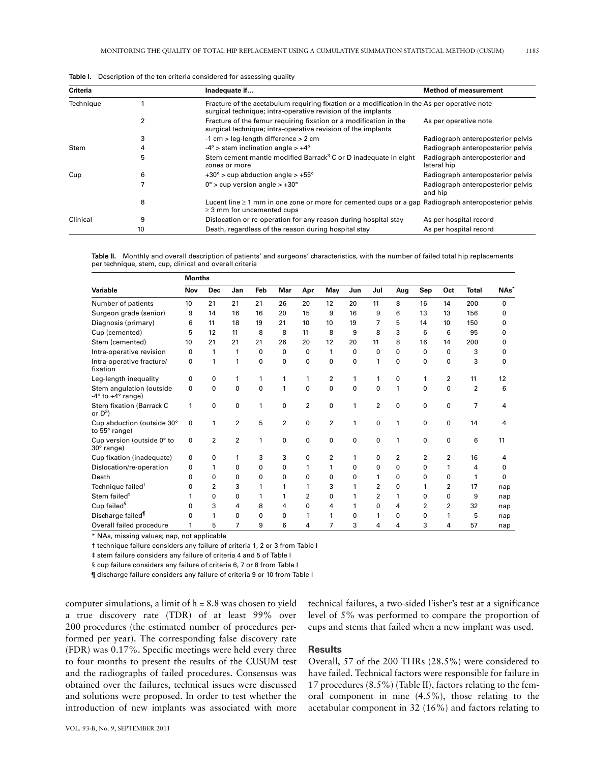| Criteria  |    | Inadequate if                                                                                                                                                | <b>Method of measurement</b>                  |
|-----------|----|--------------------------------------------------------------------------------------------------------------------------------------------------------------|-----------------------------------------------|
| Technique |    | Fracture of the acetabulum requiring fixation or a modification in the As per operative note<br>surgical technique; intra-operative revision of the implants |                                               |
|           |    | Fracture of the femur requiring fixation or a modification in the<br>surgical technique; intra-operative revision of the implants                            | As per operative note                         |
|           |    | $-1$ cm $>$ leg-length difference $>$ 2 cm                                                                                                                   | Radiograph anteroposterior pelvis             |
| Stem      |    | $-4^{\circ}$ > stem inclination angle > $+4^{\circ}$                                                                                                         | Radiograph anteroposterior pelvis             |
|           | 5  | Stem cement mantle modified Barrack <sup>3</sup> C or D inadequate in eight<br>zones or more                                                                 | Radiograph anteroposterior and<br>lateral hip |
| Cup       | 6  | $+30^{\circ}$ > cup abduction angle > $+55^{\circ}$                                                                                                          | Radiograph anteroposterior pelvis             |
|           |    | $0^\circ$ > cup version angle > +30 $^\circ$                                                                                                                 | Radiograph anteroposterior pelvis<br>and hip  |
|           | 8  | Lucent line $\geq 1$ mm in one zone or more for cemented cups or a gap Radiograph anteroposterior pelvis<br>$\geq$ 3 mm for uncemented cups                  |                                               |
| Clinical  | 9  | Dislocation or re-operation for any reason during hospital stay                                                                                              | As per hospital record                        |
|           | 10 | Death, regardless of the reason during hospital stay                                                                                                         | As per hospital record                        |

Table I. Description of the ten criteria considered for assessing quality

Table II. Monthly and overall description of patients' and surgeons' characteristics, with the number of failed total hip replacements per technique, stem, cup, clinical and overall criteria

|                                                             | <b>Months</b> |                |                |     |     |     |     |     |     |     |          |                |                |                  |
|-------------------------------------------------------------|---------------|----------------|----------------|-----|-----|-----|-----|-----|-----|-----|----------|----------------|----------------|------------------|
| Variable                                                    | Nov           | <b>Dec</b>     | Jan            | Feb | Mar | Apr | May | Jun | Jul | Aug | Sep      | Oct            | <b>Total</b>   | NAs <sup>'</sup> |
| Number of patients                                          | 10            | 21             | 21             | 21  | 26  | 20  | 12  | 20  | 11  | 8   | 16       | 14             | 200            | 0                |
| Surgeon grade (senior)                                      | 9             | 14             | 16             | 16  | 20  | 15  | 9   | 16  | 9   | 6   | 13       | 13             | 156            | 0                |
| Diagnosis (primary)                                         | 6             | 11             | 18             | 19  | 21  | 10  | 10  | 19  | 7   | 5   | 14       | 10             | 150            | 0                |
| Cup (cemented)                                              | 5             | 12             | 11             | 8   | 8   | 11  | 8   | 9   | 8   | 3   | 6        | 6              | 95             | 0                |
| Stem (cemented)                                             | 10            | 21             | 21             | 21  | 26  | 20  | 12  | 20  | 11  | 8   | 16       | 14             | 200            | 0                |
| Intra-operative revision                                    | 0             | 1              | 1              | 0   | 0   | 0   | 1   | 0   | 0   | 0   | 0        | 0              | 3              | 0                |
| Intra-operative fracture/<br>fixation                       | 0             | 1              | 1              | 0   | 0   | 0   | 0   | 0   | 1   | 0   | 0        | 0              | 3              | 0                |
| Leg-length inequality                                       | 0             | 0              | 1              | 1   | 1   | 1   | 2   | 1   | 1   | 0   | 1        | 2              | 11             | 12               |
| Stem angulation (outside<br>$-4^\circ$ to $+4^\circ$ range) | 0             | 0              | 0              | 0   | 1   | 0   | 0   | 0   | 0   | 1   | $\Omega$ | 0              | $\overline{2}$ | 6                |
| Stem fixation (Barrack C<br>or $D^3$ )                      | 1             | 0              | 0              | 1   | 0   | 2   | 0   | 1   | 2   | 0   | $\Omega$ | 0              | $\overline{7}$ | 4                |
| Cup abduction (outside 30°<br>to 55° range)                 | 0             | 1              | $\overline{2}$ | 5   | 2   | 0   | 2   | 1   | 0   | 1   | 0        | 0              | 14             | 4                |
| Cup version (outside 0° to<br>$30^\circ$ range)             | 0             | $\overline{2}$ | $\overline{2}$ | 1   | 0   | 0   | 0   | 0   | 0   | 1   | $\Omega$ | 0              | 6              | 11               |
| Cup fixation (inadequate)                                   | 0             | 0              | 1              | 3   | 3   | 0   | 2   | 1   | 0   | 2   | 2        | 2              | 16             | 4                |
| Dislocation/re-operation                                    | 0             | 1              | 0              | 0   | 0   | 1   | 1   | 0   | 0   | 0   | 0        | 1              | 4              | 0                |
| Death                                                       | O             | 0              | 0              | 0   | 0   | 0   | 0   | 0   | 1   | 0   | 0        | 0              | 1              | 0                |
| Technique failed <sup>†</sup>                               | 0             | $\overline{2}$ | 3              | 1   | 1   | 1   | 3   | 1   | 2   | 0   | 1        | $\overline{2}$ | 17             | nap              |
| Stem failed <sup>#</sup>                                    |               | 0              | 0              | 1   | 1   | 2   | 0   | 1   | 2   | 1   | ٥        | 0              | 9              | nap              |
| Cup failed <sup>§</sup>                                     | O             | 3              | 4              | 8   | 4   | 0   | 4   | 1   | 0   | 4   | 2        | 2              | 32             | nap              |
| Discharge failed <sup>1</sup>                               | O             | 1              | 0              | 0   | 0   | 1   | 1   | 0   | 1   | 0   | 0        | 1              | 5              | nap              |
| Overall failed procedure                                    | 1             | 5              | 7              | 9   | 6   | 4   | 7   | 3   | 4   | 4   | 3        | 4              | 57             | nap              |

\* NAs, missing values; nap, not applicable

† technique failure considers any failure of criteria 1, 2 or 3 from Table I

‡ stem failure considers any failure of criteria 4 and 5 of Table I

§ cup failure considers any failure of criteria 6, 7 or 8 from Table I

¶ discharge failure considers any failure of criteria 9 or 10 from Table I

computer simulations, a limit of  $h = 8.8$  was chosen to yield a true discovery rate (TDR) of at least 99% over 200 procedures (the estimated number of procedures performed per year). The corresponding false discovery rate (FDR) was 0.17%. Specific meetings were held every three to four months to present the results of the CUSUM test and the radiographs of failed procedures. Consensus was obtained over the failures, technical issues were discussed and solutions were proposed. In order to test whether the introduction of new implants was associated with more

technical failures, a two-sided Fisher's test at a significance level of 5% was performed to compare the proportion of cups and stems that failed when a new implant was used.

#### **Results**

Overall, 57 of the 200 THRs (28.5%) were considered to have failed. Technical factors were responsible for failure in 17 procedures (8.5%) (Table II), factors relating to the femoral component in nine (4.5%), those relating to the acetabular component in 32 (16%) and factors relating to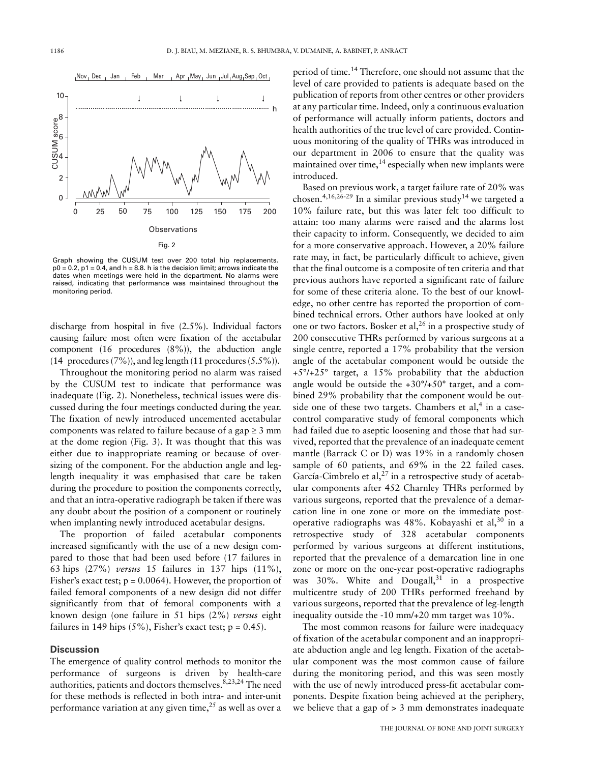

Graph showing the CUSUM test over 200 total hip replacements.  $p0 = 0.2$ ,  $p1 = 0.4$ , and  $h = 8.8$ , h is the decision limit; arrows indicate the dates when meetings were held in the department. No alarms were raised, indicating that performance was maintained throughout the monitoring period.

discharge from hospital in five (2.5%). Individual factors causing failure most often were fixation of the acetabular component (16 procedures (8%)), the abduction angle (14 procedures  $(7\%)$ ), and leg length (11 procedures  $(5.5\%)$ ).

Throughout the monitoring period no alarm was raised by the CUSUM test to indicate that performance was inadequate (Fig. 2). Nonetheless, technical issues were discussed during the four meetings conducted during the year. The fixation of newly introduced uncemented acetabular components was related to failure because of a gap  $\geq 3$  mm at the dome region (Fig. 3). It was thought that this was either due to inappropriate reaming or because of oversizing of the component. For the abduction angle and leglength inequality it was emphasised that care be taken during the procedure to position the components correctly, and that an intra-operative radiograph be taken if there was any doubt about the position of a component or routinely when implanting newly introduced acetabular designs.

The proportion of failed acetabular components increased significantly with the use of a new design compared to those that had been used before (17 failures in 63 hips (27%) *versus* 15 failures in 137 hips (11%), Fisher's exact test;  $p = 0.0064$ ). However, the proportion of failed femoral components of a new design did not differ significantly from that of femoral components with a known design (one failure in 51 hips (2%) *versus* eight failures in 149 hips  $(5\%)$ , Fisher's exact test;  $p = 0.45$ ).

#### **Discussion**

The emergence of quality control methods to monitor the performance of surgeons is driven by health-care authorities, patients and doctors themselves.<sup>8,23,24</sup> The need for these methods is reflected in both intra- and inter-unit performance variation at any given time, $^{25}$  as well as over a

period of time.<sup>14</sup> Therefore, one should not assume that the level of care provided to patients is adequate based on the publication of reports from other centres or other providers at any particular time. Indeed, only a continuous evaluation of performance will actually inform patients, doctors and health authorities of the true level of care provided. Continuous monitoring of the quality of THRs was introduced in our department in 2006 to ensure that the quality was maintained over time, $^{14}$  especially when new implants were introduced.

Based on previous work, a target failure rate of 20% was chosen.<sup>4,16,26-29</sup> In a similar previous study<sup>14</sup> we targeted a 10% failure rate, but this was later felt too difficult to attain: too many alarms were raised and the alarms lost their capacity to inform. Consequently, we decided to aim for a more conservative approach. However, a 20% failure rate may, in fact, be particularly difficult to achieve, given that the final outcome is a composite of ten criteria and that previous authors have reported a significant rate of failure for some of these criteria alone. To the best of our knowledge, no other centre has reported the proportion of combined technical errors. Other authors have looked at only one or two factors. Bosker et al,  $^{26}$  in a prospective study of 200 consecutive THRs performed by various surgeons at a single centre, reported a 17% probability that the version angle of the acetabular component would be outside the +5°/+25° target, a 15% probability that the abduction angle would be outside the  $+30^{\circ}/+50^{\circ}$  target, and a combined 29% probability that the component would be outside one of these two targets. Chambers et al,<sup>4</sup> in a casecontrol comparative study of femoral components which had failed due to aseptic loosening and those that had survived, reported that the prevalence of an inadequate cement mantle (Barrack C or D) was 19% in a randomly chosen sample of 60 patients, and 69% in the 22 failed cases. García-Cimbrelo et al, $^{27}$  in a retrospective study of acetabular components after 452 Charnley THRs performed by various surgeons, reported that the prevalence of a demarcation line in one zone or more on the immediate postoperative radiographs was  $48\%$ . Kobayashi et al,<sup>30</sup> in a retrospective study of 328 acetabular components performed by various surgeons at different institutions, reported that the prevalence of a demarcation line in one zone or more on the one-year post-operative radiographs was 30%. White and Dougall, $31$  in a prospective multicentre study of 200 THRs performed freehand by various surgeons, reported that the prevalence of leg-length inequality outside the -10 mm/+20 mm target was 10%.

The most common reasons for failure were inadequacy of fixation of the acetabular component and an inappropriate abduction angle and leg length. Fixation of the acetabular component was the most common cause of failure during the monitoring period, and this was seen mostly with the use of newly introduced press-fit acetabular components. Despite fixation being achieved at the periphery, we believe that a gap of  $> 3$  mm demonstrates inadequate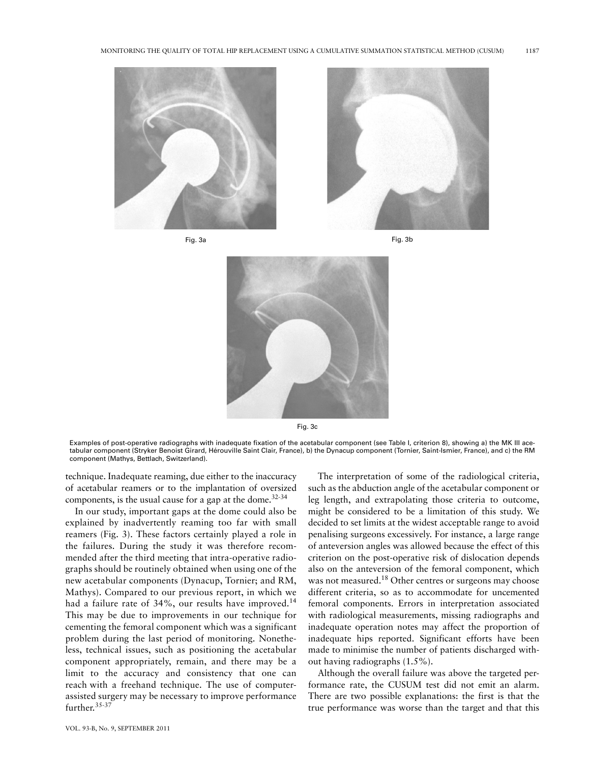

Fig. 3a Fig. 3b







Fig. 3c

Examples of post-operative radiographs with inadequate fixation of the acetabular component (see Table I, criterion 8), showing a) the MK III acetabular component (Stryker Benoist Girard, Hérouville Saint Clair, France), b) the Dynacup component (Tornier, Saint-Ismier, France), and c) the RM component (Mathys, Bettlach, Switzerland).

technique. Inadequate reaming, due either to the inaccuracy of acetabular reamers or to the implantation of oversized components, is the usual cause for a gap at the dome. $32-34$ 

In our study, important gaps at the dome could also be explained by inadvertently reaming too far with small reamers (Fig. 3). These factors certainly played a role in the failures. During the study it was therefore recommended after the third meeting that intra-operative radiographs should be routinely obtained when using one of the new acetabular components (Dynacup, Tornier; and RM, Mathys). Compared to our previous report, in which we had a failure rate of 34%, our results have improved.<sup>14</sup> This may be due to improvements in our technique for cementing the femoral component which was a significant problem during the last period of monitoring. Nonetheless, technical issues, such as positioning the acetabular component appropriately, remain, and there may be a limit to the accuracy and consistency that one can reach with a freehand technique. The use of computerassisted surgery may be necessary to improve performance further.<sup>35-37</sup>

The interpretation of some of the radiological criteria, such as the abduction angle of the acetabular component or leg length, and extrapolating those criteria to outcome, might be considered to be a limitation of this study. We decided to set limits at the widest acceptable range to avoid penalising surgeons excessively. For instance, a large range of anteversion angles was allowed because the effect of this criterion on the post-operative risk of dislocation depends also on the anteversion of the femoral component, which was not measured.<sup>18</sup> Other centres or surgeons may choose different criteria, so as to accommodate for uncemented femoral components. Errors in interpretation associated with radiological measurements, missing radiographs and inadequate operation notes may affect the proportion of inadequate hips reported. Significant efforts have been made to minimise the number of patients discharged without having radiographs (1.5%).

Although the overall failure was above the targeted performance rate, the CUSUM test did not emit an alarm. There are two possible explanations: the first is that the true performance was worse than the target and that this